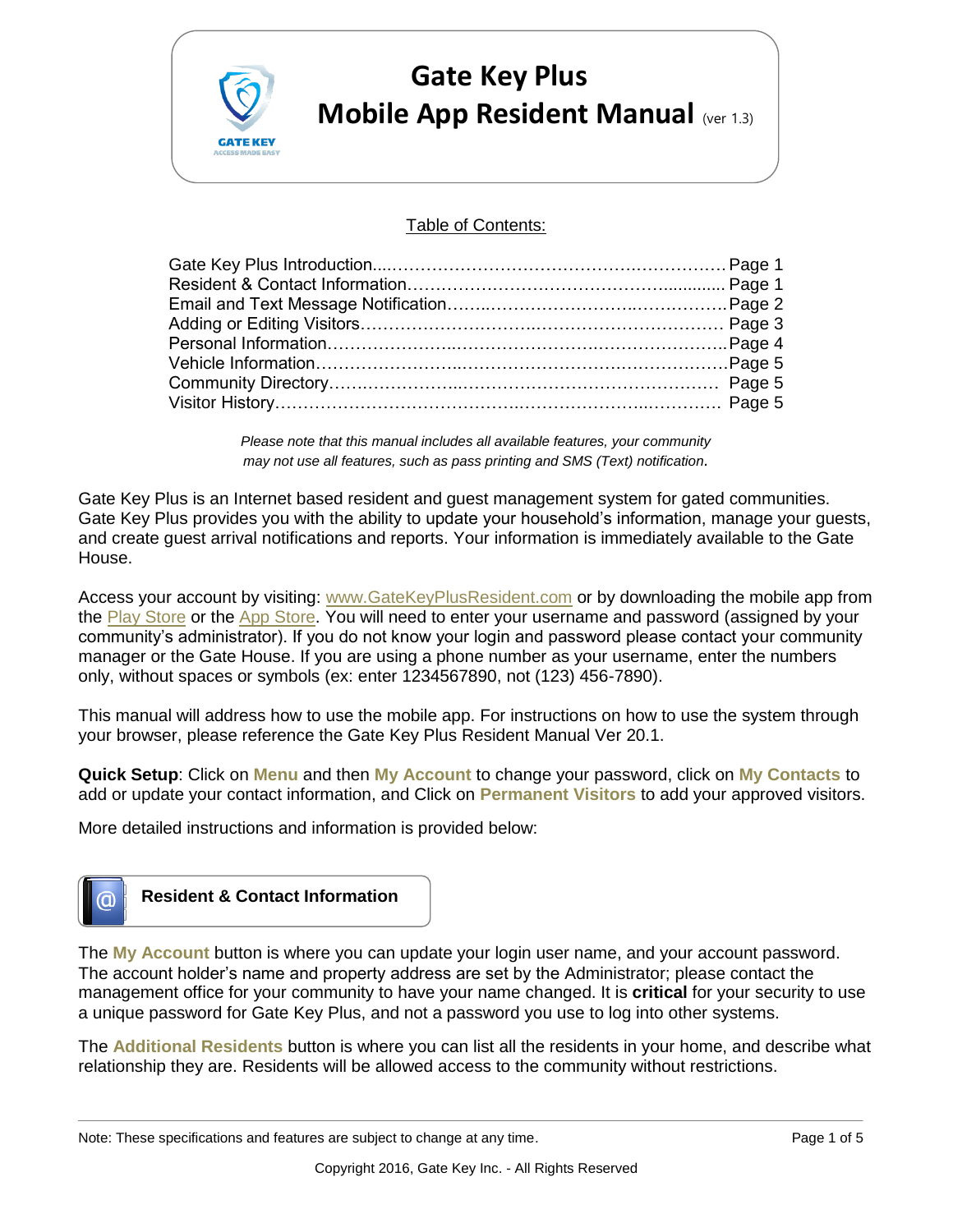

# **Gate Key Plus Mobile App Resident Manual** (ver 1.3)

#### Table of Contents:

*Please note that this manual includes all available features, your community may not use all features, such as pass printing and SMS (Text) notification.* 

Gate Key Plus is an Internet based resident and guest management system for gated communities. Gate Key Plus provides you with the ability to update your household's information, manage your guests, and create guest arrival notifications and reports. Your information is immediately available to the Gate House.

Access your account by visiting: [www.GateKeyPlusResident.com](https://system.gatekey.com/resident/login) or by downloading the mobile app from the [Play Store](https://play.google.com/store/apps/details?id=com.gatekey.system.gatekey&hl=en_US) or the [App Store.](https://apps.apple.com/us/app/gatekey-resident/id1454336803) You will need to enter your username and password (assigned by your community's administrator). If you do not know your login and password please contact your community manager or the Gate House. If you are using a phone number as your username, enter the numbers only, without spaces or symbols (ex: enter 1234567890, not (123) 456-7890).

This manual will address how to use the mobile app. For instructions on how to use the system through your browser, please reference the Gate Key Plus Resident Manual Ver 20.1.

**Quick Setup**: Click on **Menu** and then **My Account** to change your password, click on **My Contacts** to add or update your contact information, and Click on **Permanent Visitors** to add your approved visitors.

More detailed instructions and information is provided below:



The **My Account** button is where you can update your login user name, and your account password. The account holder's name and property address are set by the Administrator; please contact the management office for your community to have your name changed. It is **critical** for your security to use a unique password for Gate Key Plus, and not a password you use to log into other systems.

The **Additional Residents** button is where you can list all the residents in your home, and describe what relationship they are. Residents will be allowed access to the community without restrictions.

Note: These specifications and features are subject to change at any time. Page 1 of 5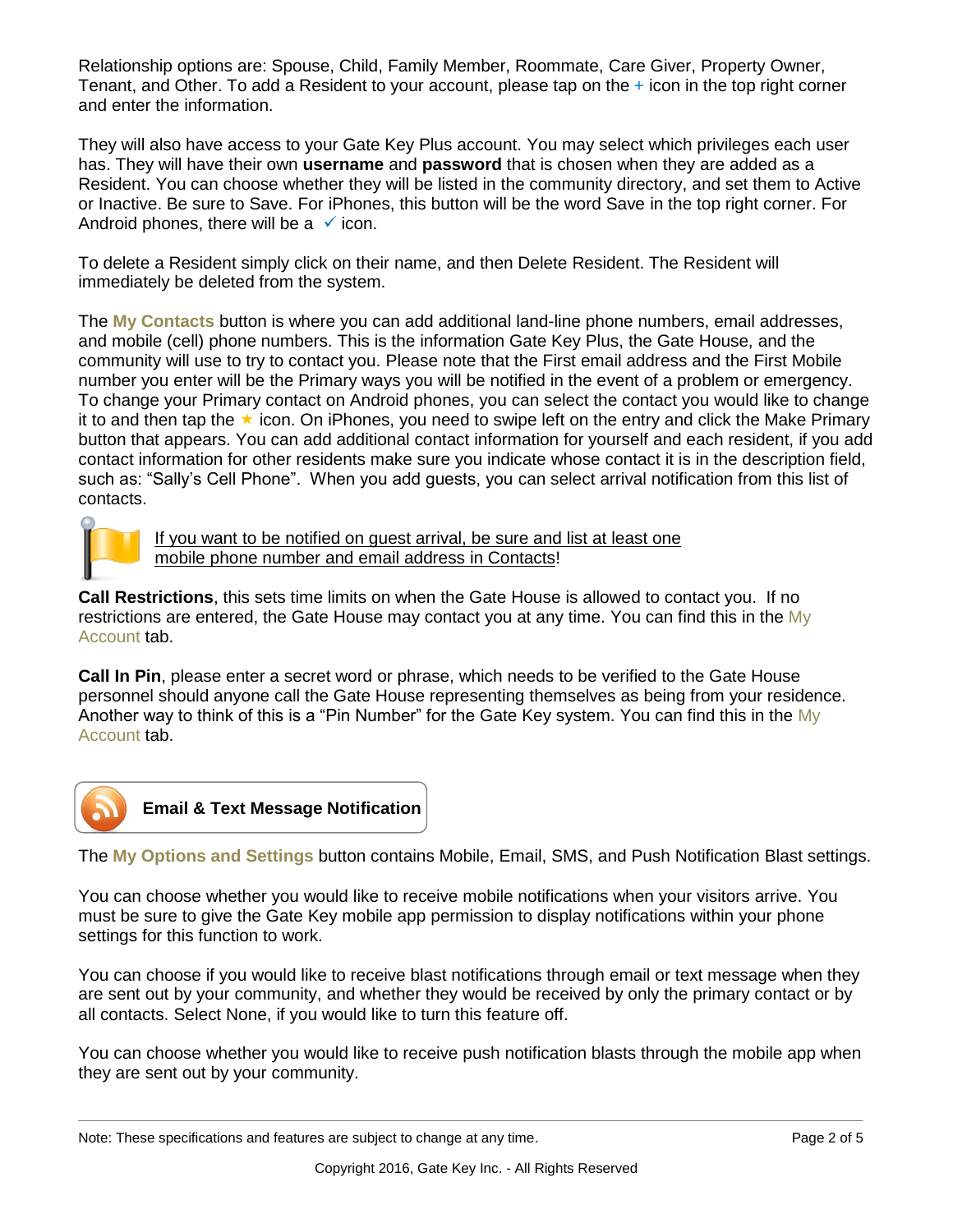Relationship options are: Spouse, Child, Family Member, Roommate, Care Giver, Property Owner, Tenant, and Other. To add a Resident to your account, please tap on the + icon in the top right corner and enter the information.

They will also have access to your Gate Key Plus account. You may select which privileges each user has. They will have their own **username** and **password** that is chosen when they are added as a Resident. You can choose whether they will be listed in the community directory, and set them to Active or Inactive. Be sure to Save. For iPhones, this button will be the word Save in the top right corner. For Android phones, there will be a  $\checkmark$  icon.

To delete a Resident simply click on their name, and then Delete Resident. The Resident will immediately be deleted from the system.

The **My Contacts** button is where you can add additional land-line phone numbers, email addresses, and mobile (cell) phone numbers. This is the information Gate Key Plus, the Gate House, and the community will use to try to contact you. Please note that the First email address and the First Mobile number you enter will be the Primary ways you will be notified in the event of a problem or emergency. To change your Primary contact on Android phones, you can select the contact you would like to change it to and then tap the  $\star$  icon. On iPhones, you need to swipe left on the entry and click the Make Primary button that appears. You can add additional contact information for yourself and each resident, if you add contact information for other residents make sure you indicate whose contact it is in the description field, such as: "Sally's Cell Phone". When you add guests, you can select arrival notification from this list of contacts.



If you want to be notified on guest arrival, be sure and list at least one mobile phone number and email address in Contacts!

**Call Restrictions**, this sets time limits on when the Gate House is allowed to contact you. If no restrictions are entered, the Gate House may contact you at any time. You can find this in the My Account tab.

**Call In Pin**, please enter a secret word or phrase, which needs to be verified to the Gate House personnel should anyone call the Gate House representing themselves as being from your residence. Another way to think of this is a "Pin Number" for the Gate Key system. You can find this in the My Account tab.



### **Email & Text Message Notification**

The **My Options and Settings** button contains Mobile, Email, SMS, and Push Notification Blast settings.

You can choose whether you would like to receive mobile notifications when your visitors arrive. You must be sure to give the Gate Key mobile app permission to display notifications within your phone settings for this function to work.

You can choose if you would like to receive blast notifications through email or text message when they are sent out by your community, and whether they would be received by only the primary contact or by all contacts. Select None, if you would like to turn this feature off.

You can choose whether you would like to receive push notification blasts through the mobile app when they are sent out by your community.

Note: These specifications and features are subject to change at any time. Page 2 of 5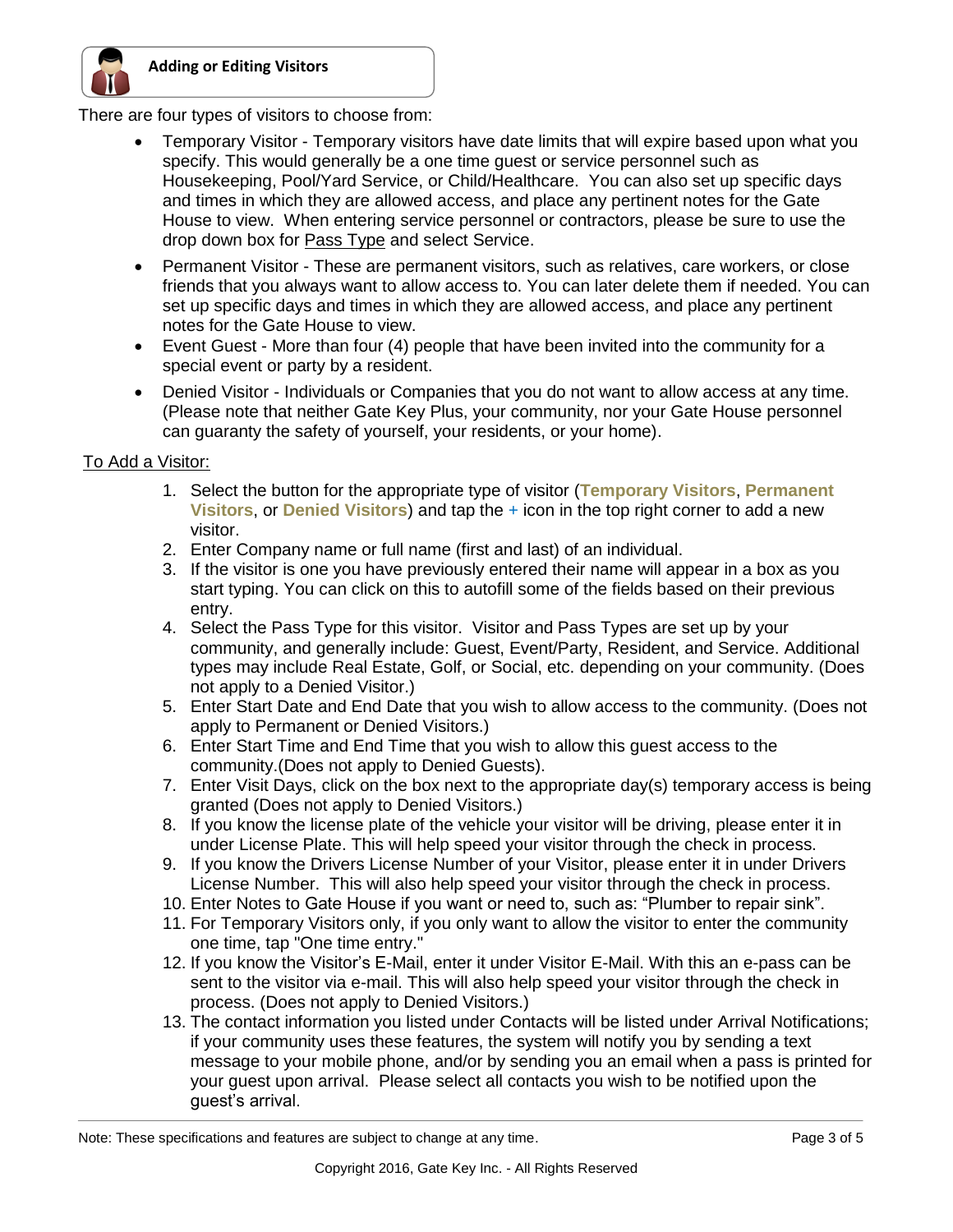

There are four types of visitors to choose from:

- Temporary Visitor Temporary visitors have date limits that will expire based upon what you specify. This would generally be a one time guest or service personnel such as Housekeeping, Pool/Yard Service, or Child/Healthcare. You can also set up specific days and times in which they are allowed access, and place any pertinent notes for the Gate House to view. When entering service personnel or contractors, please be sure to use the drop down box for Pass Type and select Service.
- Permanent Visitor These are permanent visitors, such as relatives, care workers, or close friends that you always want to allow access to. You can later delete them if needed. You can set up specific days and times in which they are allowed access, and place any pertinent notes for the Gate House to view.
- Event Guest More than four (4) people that have been invited into the community for a special event or party by a resident.
- Denied Visitor Individuals or Companies that you do not want to allow access at any time. (Please note that neither Gate Key Plus, your community, nor your Gate House personnel can guaranty the safety of yourself, your residents, or your home).

#### To Add a Visitor:

- 1. Select the button for the appropriate type of visitor (**Temporary Visitors**, **Permanent Visitors**, or **Denied Visitors**) and tap the + icon in the top right corner to add a new visitor.
- 2. Enter Company name or full name (first and last) of an individual.
- 3. If the visitor is one you have previously entered their name will appear in a box as you start typing. You can click on this to autofill some of the fields based on their previous entry.
- 4. Select the Pass Type for this visitor. Visitor and Pass Types are set up by your community, and generally include: Guest, Event/Party, Resident, and Service. Additional types may include Real Estate, Golf, or Social, etc. depending on your community. (Does not apply to a Denied Visitor.)
- 5. Enter Start Date and End Date that you wish to allow access to the community. (Does not apply to Permanent or Denied Visitors.)
- 6. Enter Start Time and End Time that you wish to allow this guest access to the community.(Does not apply to Denied Guests).
- 7. Enter Visit Days, click on the box next to the appropriate day(s) temporary access is being granted (Does not apply to Denied Visitors.)
- 8. If you know the license plate of the vehicle your visitor will be driving, please enter it in under License Plate. This will help speed your visitor through the check in process.
- 9. If you know the Drivers License Number of your Visitor, please enter it in under Drivers License Number. This will also help speed your visitor through the check in process.
- 10. Enter Notes to Gate House if you want or need to, such as: "Plumber to repair sink".
- 11. For Temporary Visitors only, if you only want to allow the visitor to enter the community one time, tap "One time entry."
- 12. If you know the Visitor's E-Mail, enter it under Visitor E-Mail. With this an e-pass can be sent to the visitor via e-mail. This will also help speed your visitor through the check in process. (Does not apply to Denied Visitors.)
- 13. The contact information you listed under Contacts will be listed under Arrival Notifications; if your community uses these features, the system will notify you by sending a text message to your mobile phone, and/or by sending you an email when a pass is printed for your guest upon arrival. Please select all contacts you wish to be notified upon the guest's arrival.

Note: These specifications and features are subject to change at any time. These in the state 3 of 5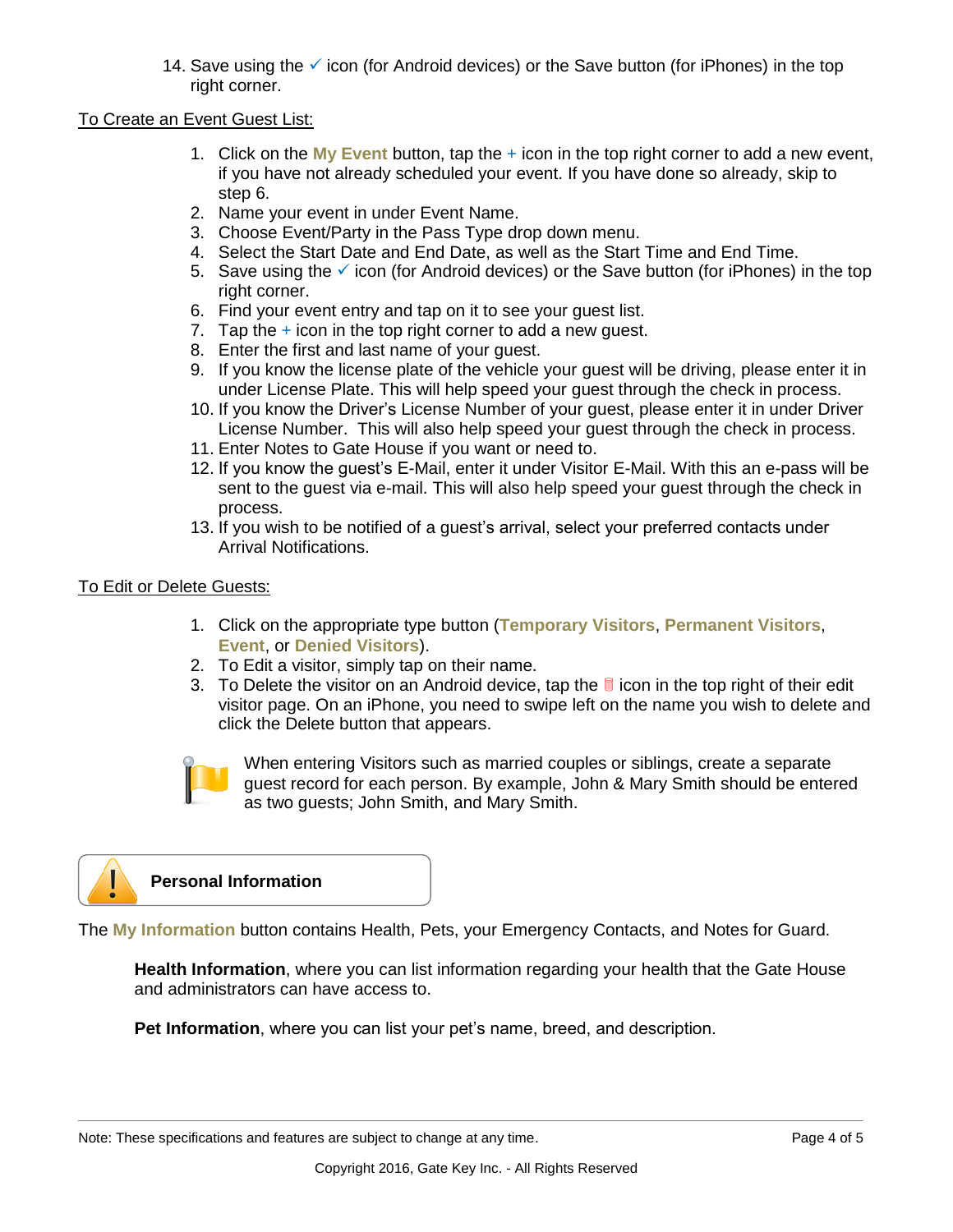14. Save using the  $\checkmark$  icon (for Android devices) or the Save button (for iPhones) in the top right corner.

#### To Create an Event Guest List:

- 1. Click on the **My Event** button, tap the + icon in the top right corner to add a new event, if you have not already scheduled your event. If you have done so already, skip to step 6.
- 2. Name your event in under Event Name.
- 3. Choose Event/Party in the Pass Type drop down menu.
- 4. Select the Start Date and End Date, as well as the Start Time and End Time.
- 5. Save using the  $\checkmark$  icon (for Android devices) or the Save button (for iPhones) in the top right corner.
- 6. Find your event entry and tap on it to see your guest list.
- 7. Tap the  $+$  icon in the top right corner to add a new guest.
- 8. Enter the first and last name of your guest.
- 9. If you know the license plate of the vehicle your guest will be driving, please enter it in under License Plate. This will help speed your guest through the check in process.
- 10. If you know the Driver's License Number of your guest, please enter it in under Driver License Number. This will also help speed your guest through the check in process.
- 11. Enter Notes to Gate House if you want or need to.
- 12. If you know the guest's E-Mail, enter it under Visitor E-Mail. With this an e-pass will be sent to the guest via e-mail. This will also help speed your guest through the check in process.
- 13. If you wish to be notified of a guest's arrival, select your preferred contacts under Arrival Notifications.

#### To Edit or Delete Guests:

- 1. Click on the appropriate type button (**Temporary Visitors**, **Permanent Visitors**, **Event**, or **Denied Visitors**).
- 2. To Edit a visitor, simply tap on their name.
- 3. To Delete the visitor on an Android device, tap the  $\Box$  icon in the top right of their edit visitor page. On an iPhone, you need to swipe left on the name you wish to delete and click the Delete button that appears.



When entering Visitors such as married couples or siblings, create a separate guest record for each person. By example, John & Mary Smith should be entered as two guests; John Smith, and Mary Smith.



The **My Information** button contains Health, Pets, your Emergency Contacts, and Notes for Guard.

**Health Information**, where you can list information regarding your health that the Gate House and administrators can have access to.

**Pet Information**, where you can list your pet's name, breed, and description.